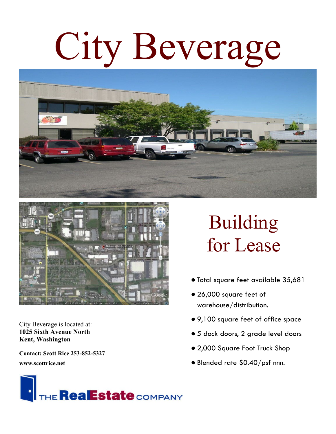## City Beverage





City Beverage is located at: **1025 Sixth Avenue North Kent, Washington**

**Contact: Scott Rice 253-852-5327**

**www.scottrice.net**

## Building for Lease

- Total square feet available 35,681
- 26,000 square feet of warehouse/distribution.
- 9,100 square feet of office space
- 5 dock doors, 2 grade level doors
- 2,000 Square Foot Truck Shop
- Blended rate \$0.40/psf nnn.